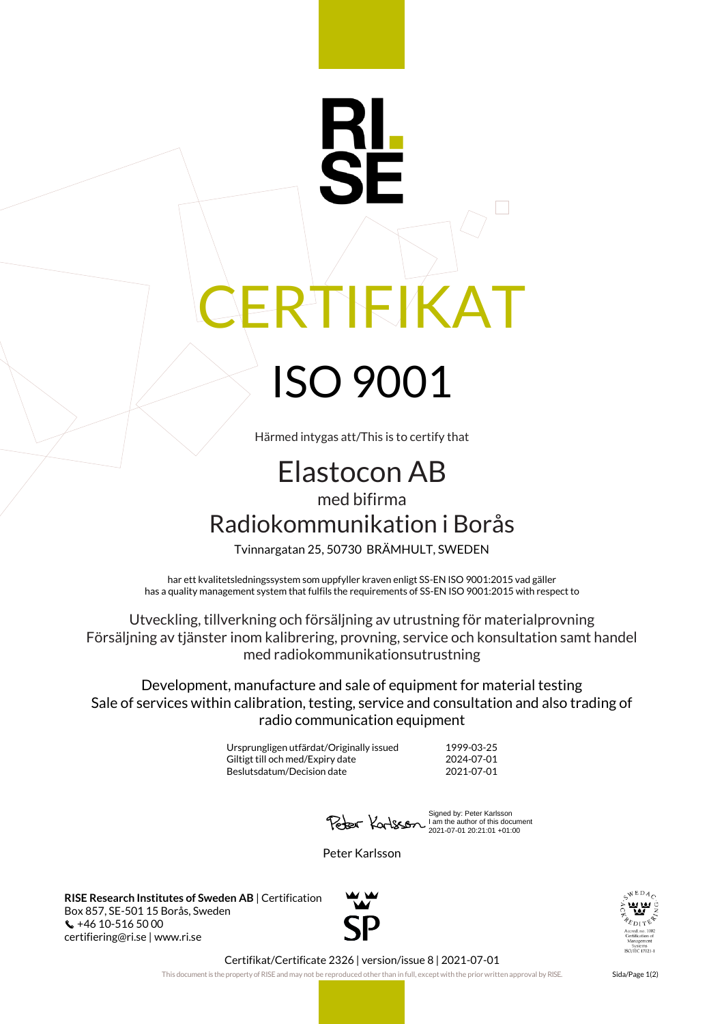## **IFIKAT** ISO 9001

Härmed intygas att/This is to certify that

## Elastocon AB med bifirma

Radiokommunikation i Borås

Tvinnargatan 25, 50730 BRÄMHULT, SWEDEN

har ett kvalitetsledningssystem som uppfyller kraven enligt SS-EN ISO 9001:2015 vad gäller has a quality management system that fulfils the requirements of SS-EN ISO 9001:2015 with respect to

Utveckling, tillverkning och försäljning av utrustning för materialprovning Försäljning av tjänster inom kalibrering, provning, service och konsultation samt handel med radiokommunikationsutrustning

Development, manufacture and sale of equipment for material testing Sale of services within calibration, testing, service and consultation and also trading of radio communication equipment

> Ursprungligen utfärdat/Originally issued 1999-03-25 Giltigt till och med/Expiry date 2024-07-01 Beslutsdatum/Decision date 2021-07-01

Signed by: Peter Karlsson I am the author of this document 2021-07-01 20:21:01 +01:00

Peter Karlsson

**RISE Research Institutes of Sweden AB** | Certification Box 857, SE-501 15 Borås, Sweden +46 10-516 50 00 certifiering@ri.se | www.ri.se





Certifikat/Certificate 2326 | version/issue 8 | 2021-07-01

This document is the property of RISE and may not be reproduced other than in full, except with the prior written approval by RISE. Sida/Page 1(2)